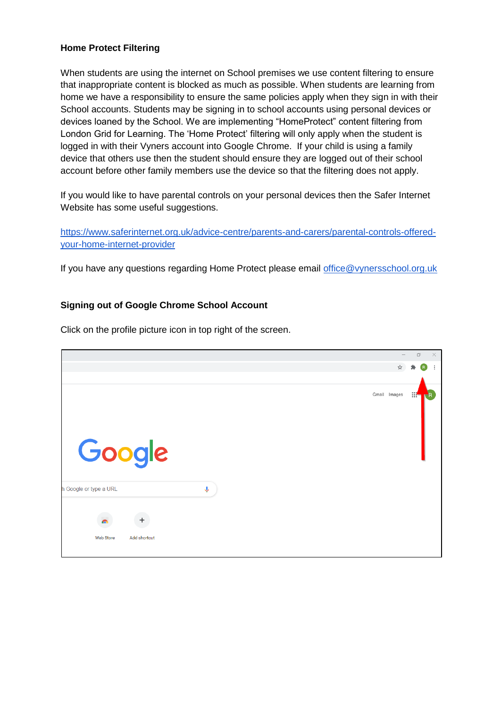## **Home Protect Filtering**

When students are using the internet on School premises we use content filtering to ensure that inappropriate content is blocked as much as possible. When students are learning from home we have a responsibility to ensure the same policies apply when they sign in with their School accounts. Students may be signing in to school accounts using personal devices or devices loaned by the School. We are implementing "HomeProtect" content filtering from London Grid for Learning. The 'Home Protect' filtering will only apply when the student is logged in with their Vyners account into Google Chrome. If your child is using a family device that others use then the student should ensure they are logged out of their school account before other family members use the device so that the filtering does not apply.

If you would like to have parental controls on your personal devices then the Safer Internet Website has some useful suggestions.

[https://www.saferinternet.org.uk/advice-centre/parents-and-carers/parental-controls-offered](https://www.saferinternet.org.uk/advice-centre/parents-and-carers/parental-controls-offered-your-home-internet-provider)[your-home-internet-provider](https://www.saferinternet.org.uk/advice-centre/parents-and-carers/parental-controls-offered-your-home-internet-provider)

If you have any questions regarding Home Protect please email [office@vynersschool.org.uk](mailto:office@vynersschool.org.uk)

## **Signing out of Google Chrome School Account**

Click on the profile picture icon in top right of the screen.

|                           |                    |              | $\Box$<br>$\times$ |
|---------------------------|--------------------|--------------|--------------------|
|                           |                    | ☆            |                    |
|                           |                    |              |                    |
| Google                    |                    | Gmail Images | $\mathbb{R}^n$     |
| h Google or type a URL    | $\pmb{\Downarrow}$ |              |                    |
| $\ddot{}$                 |                    |              |                    |
| Web Store<br>Add shortcut |                    |              |                    |